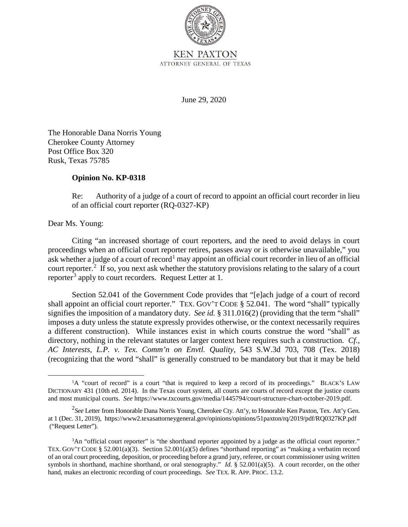

June 29, 2020

The Honorable Dana Norris Young Cherokee County Attorney Post Office Box 320 Rusk, Texas 75785

## **Opinion No. KP-0318**

Re: Authority of a judge of a court of record to appoint an official court recorder in lieu of an official court reporter (RQ-0327-KP)

Dear Ms. Young:

ask whether a judge of a court of record<sup>1</sup> may appoint an official court recorder in lieu of an official court reporter.<sup>2</sup> If so, you next ask whether the statutory provisions relating to the salary of a court Citing "an increased shortage of court reporters, and the need to avoid delays in court proceedings when an official court reporter retires, passes away or is otherwise unavailable," you reporter<sup>3</sup> apply to court recorders. Request Letter at 1.

 shall appoint an official court reporter." TEX. GOV'T CODE § 52.041. The word "shall" typically signifies the imposition of a mandatory duty. *See id.* § 311.016(2) (providing that the term "shall" imposes a duty unless the statute expressly provides otherwise, or the context necessarily requires Section 52.041 of the Government Code provides that "[e]ach judge of a court of record a different construction). While instances exist in which courts construe the word "shall" as directory, nothing in the relevant statutes or larger context here requires such a construction. *Cf., AC Interests, L.P. v. Tex. Comm'n on Envtl. Quality*, 543 S.W.3d 703, 708 (Tex. 2018) (recognizing that the word "shall" is generally construed to be mandatory but that it may be held

 and most municipal courts. *See* https://www.txcourts.gov/media/1445794/court-structure-chart-october-2019.pdf. <sup>1</sup>A "court of record" is a court "that is required to keep a record of its proceedings." BLACK'S LAW DICTIONARY 431 (10th ed. 2014). In the Texas court system, all courts are courts of record except the justice courts

 2 *See* Letter from Honorable Dana Norris Young, Cherokee Cty. Att'y, to Honorable Ken Paxton, Tex. Att'y Gen. at 1 (Dec. 31, 2019), https://www2.texasattorneygeneral.gov/opinions/opinions/51paxton/rq/2019/pdf/RQ0327KP.pdf ("Request Letter").

 TEX. GOV'T CODE § 52.001(a)(3). Section 52.001(a)(5) defines "shorthand reporting" as "making a verbatim record of an oral court proceeding, deposition, or proceeding before a grand jury, referee, or court commissioner using written symbols in shorthand, machine shorthand, or oral stenography." *Id.* § 52.001(a)(5). A court recorder, on the other hand, makes an electronic recording of court proceedings. *See* TEX. R. APP. PROC. 13.2. <sup>3</sup>An "official court reporter" is "the shorthand reporter appointed by a judge as the official court reporter."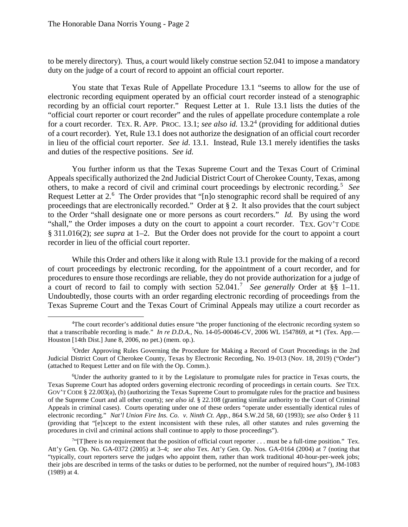to be merely directory). Thus, a court would likely construe section 52.041 to impose a mandatory duty on the judge of a court of record to appoint an official court reporter.

 recording by an official court reporter." Request Letter at 1. Rule 13.1 lists the duties of the for a court recorder. TEX. R. APP. PROC. 13.1; *see also id.* 13.2<sup>4</sup> (providing for additional duties of a court recorder). Yet, Rule 13.1 does not authorize the designation of an official court recorder in lieu of the official court reporter. *See id*. 13.1. Instead, Rule 13.1 merely identifies the tasks and duties of the respective positions. *See id.* You state that Texas Rule of Appellate Procedure 13.1 "seems to allow for the use of electronic recording equipment operated by an official court recorder instead of a stenographic "official court reporter or court recorder" and the rules of appellate procedure contemplate a role

others, to make a record of civil and criminal court proceedings by electronic recording.<sup>5</sup> See Request Letter at 2.<sup>6</sup> The Order provides that "[n]o stenographic record shall be required of any to the Order "shall designate one or more persons as court recorders." *Id.* By using the word § 311.016(2); *see supra* at 1–2. But the Order does not provide for the court to appoint a court recorder in lieu of the official court reporter. You further inform us that the Texas Supreme Court and the Texas Court of Criminal Appeals specifically authorized the 2nd Judicial District Court of Cherokee County, Texas, among proceedings that are electronically recorded." Order at § 2. It also provides that the court subject "shall," the Order imposes a duty on the court to appoint a court recorder. TEX. GOV'T CODE

 recorder in lieu of the official court reporter. While this Order and others like it along with Rule 13.1 provide for the making of a record a court of record to fail to comply with section 52.041.<sup>7</sup>*See generally* Order at §§ 1–11. of court proceedings by electronic recording, for the appointment of a court recorder, and for procedures to ensure those recordings are reliable, they do not provide authorization for a judge of Undoubtedly, those courts with an order regarding electronic recording of proceedings from the Texas Supreme Court and the Texas Court of Criminal Appeals may utilize a court recorder as

 $\overline{a}$  that a transcribable recording is made." *In re D.D.A.*, No. 14-05-00046-CV, 2006 WL 1547869, at \*1 (Tex. App.— Houston [14th Dist.] June 8, 2006, no pet.) (mem. op.). 4 The court recorder's additional duties ensure "the proper functioning of the electronic recording system so

<sup>(</sup>attached to Request Letter and on file with the Op. Comm.).<br><sup>6</sup>Under the authority granted to it by the Legislature 5 Order Approving Rules Governing the Procedure for Making a Record of Court Proceedings in the 2nd Judicial District Court of Cherokee County, Texas by Electronic Recording, No. 19-013 (Nov. 18, 2019) ("Order")

 Texas Supreme Court has adopted orders governing electronic recording of proceedings in certain courts. *See* TEX. electronic recording." *Nat'l Union Fire Ins. Co. v. Ninth Ct. App.*, 864 S.W.2d 58, 60 (1993); *see also* Order § 11 procedures in civil and criminal actions shall continue to apply to those proceedings").<br><sup>74</sup>TI lhere is no requirement that the position of official court reporter must <sup>6</sup>Under the authority granted to it by the Legislature to promulgate rules for practice in Texas courts, the GOV'T CODE § 22.003(a), (b) (authorizing the Texas Supreme Court to promulgate rules for the practice and business of the Supreme Court and all other courts); *see also id.* § 22.108 (granting similar authority to the Court of Criminal Appeals in criminal cases). Courts operating under one of these orders "operate under essentially identical rules of (providing that "[e]xcept to the extent inconsistent with these rules, all other statutes and rules governing the

 "[T]here is no requirement that the position of official court reporter . . . must be a full-time position." Tex. their jobs are described in terms of the tasks or duties to be performed, not the number of required hours"), JM-1083 Att'y Gen. Op. No. GA-0372 (2005) at 3–4; *see also* Tex. Att'y Gen. Op. Nos. GA-0164 (2004) at 7 (noting that "typically, court reporters serve the judges who appoint them, rather than work traditional 40-hour-per-week jobs; (1989) at 4.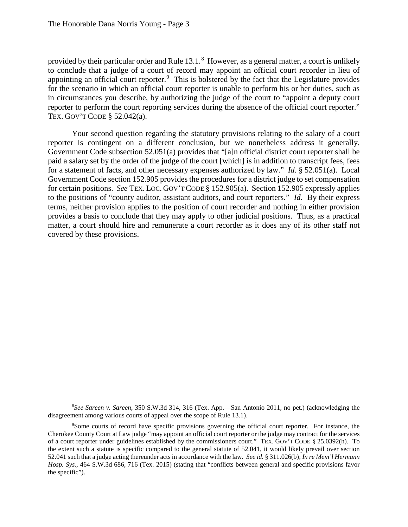provided by their particular order and Rule 13.1.<sup>8</sup> However, as a general matter, a court is unlikely appointing an official court reporter. $9$  This is bolstered by the fact that the Legislature provides in circumstances you describe, by authorizing the judge of the court to "appoint a deputy court reporter to perform the court reporting services during the absence of the official court reporter." TEX. GOV'T CODE § 52.042(a). to conclude that a judge of a court of record may appoint an official court recorder in lieu of for the scenario in which an official court reporter is unable to perform his or her duties, such as

 reporter is contingent on a different conclusion, but we nonetheless address it generally. Government Code section 152.905 provides the procedures for a district judge to set compensation for certain positions. *See* TEX. LOC. GOV'T CODE § 152.905(a). Section 152.905 expressly applies to the positions of "county auditor, assistant auditors, and court reporters." *Id.* By their express matter, a court should hire and remunerate a court recorder as it does any of its other staff not Your second question regarding the statutory provisions relating to the salary of a court Government Code subsection 52.051(a) provides that "[a]n official district court reporter shall be paid a salary set by the order of the judge of the court [which] is in addition to transcript fees, fees for a statement of facts, and other necessary expenses authorized by law." *Id.* § 52.051(a). Local terms, neither provision applies to the position of court recorder and nothing in either provision provides a basis to conclude that they may apply to other judicial positions. Thus, as a practical covered by these provisions.

 $\overline{a}$ disagreement among various courts of appeal over the scope of Rule 13.1).<br><sup>9</sup>Some courts of record have specific provisions governing the c 8 *See Sareen v. Sareen*, 350 S.W.3d 314, 316 (Tex. App.—San Antonio 2011, no pet.) (acknowledging the

 Some courts of record have specific provisions governing the official court reporter. For instance, the of a court reporter under guidelines established by the commissioners court." TEX. GOV'T CODE § 25.0392(h). To 52.041 such that a judge acting thereunder acts in accordance with the law. *See id.* § 311.026(b); *In re Mem'l Hermann*  Cherokee County Court at Law judge "may appoint an official court reporter or the judge may contract for the services the extent such a statute is specific compared to the general statute of 52.041, it would likely prevail over section *Hosp. Sys.*, 464 S.W.3d 686, 716 (Tex. 2015) (stating that "conflicts between general and specific provisions favor the specific").